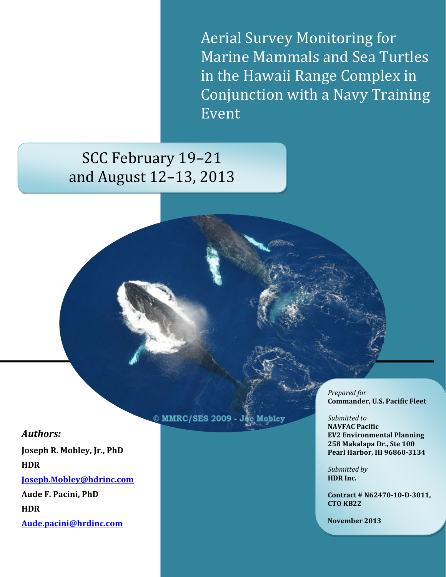Aerial Survey Monitoring for Marine Mammals and Sea Turtles in the Hawaii Range Complex in Conjunction with a Navy Training Event

# SCC February 19–21 and August 12–13, 2013

*Authors:* 

**Joseph R. Mobley, Jr., PhD HDR [Joseph.Mobley@hdrinc.com](mailto:Joseph.Mobley@hdrinc.com) Aude F. Pacini, PhD HDR [Aude.pacini@hrdinc.com](file:///C:%5CUsers%5Cjmobley%5CAppData%5CLocal%5CMicrosoft%5CWindows%5CTemporary%20Internet%20Files%5Cjmobley%5CLocal%20Settings%5CTemporary%20Internet%20Files%5CContent.IE5%5CAppData%5CLocal%5CMicrosoft%5CWindows%5CTemporary%20Internet%20Files%5CContent.Outlook%5CLocal%20Settings%5CTemporary%20Internet%20Files%5CContent.Outlook%5CAppData%5CLocal%5CMicrosoft%5CAppData%5CLocal%5CMicrosoft%5CWindows%5CTemporary%20Internet%20Files%5CContent.Outlook%5CLocal%20Settings%5CDocuments%20and%20Settings%5Cjmobley%5CLocal%20Settings%5CTemporary%20Internet%20Files%5CContent.IE5%5C6CHM11JA%5CAude.pacini@hrdinc.com)**

© MMRC/SES 2009 - Jee Mobley

*Prepared for* **Commander, U.S. Pacific Fleet**

*Submitted to*

**NAVFAC Pacific EV2 Environmental Planning 258 Makalapa Dr., Ste 100 Pearl Harbor, HI 96860-3134**

*Submitted by* **HDR Inc.** 

**Contract # N62470-10-D-3011, CTO KB22**

**November 2013**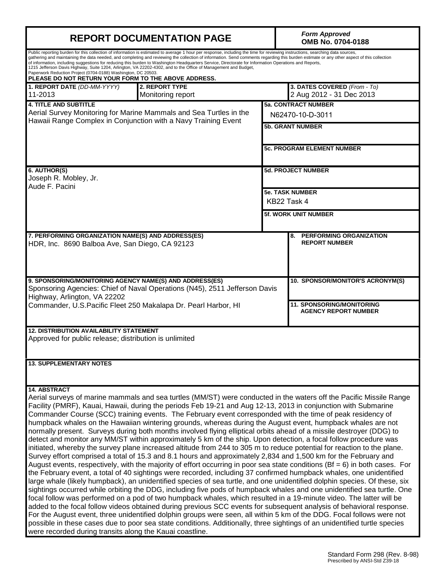| <b>REPORT DOCUMENTATION PAGE</b>                                                                                                                                     | <b>Form Approved</b><br>OMB No. 0704-0188                                                                                                                                                                                                                                                                                                                                                                                                                                                                                                                                                                                                                                                                                                                                                                                                                                                                                                                                                                                                                                                                                                                                                                                                                                                                                                 |                                                |                                                                                                                                                                                                                                                                                                                                                                                                                                                                                                                                                                                                                                   |  |  |
|----------------------------------------------------------------------------------------------------------------------------------------------------------------------|-------------------------------------------------------------------------------------------------------------------------------------------------------------------------------------------------------------------------------------------------------------------------------------------------------------------------------------------------------------------------------------------------------------------------------------------------------------------------------------------------------------------------------------------------------------------------------------------------------------------------------------------------------------------------------------------------------------------------------------------------------------------------------------------------------------------------------------------------------------------------------------------------------------------------------------------------------------------------------------------------------------------------------------------------------------------------------------------------------------------------------------------------------------------------------------------------------------------------------------------------------------------------------------------------------------------------------------------|------------------------------------------------|-----------------------------------------------------------------------------------------------------------------------------------------------------------------------------------------------------------------------------------------------------------------------------------------------------------------------------------------------------------------------------------------------------------------------------------------------------------------------------------------------------------------------------------------------------------------------------------------------------------------------------------|--|--|
| Paperwork Reduction Project (0704-0188) Washington, DC 20503.<br>PLEASE DO NOT RETURN YOUR FORM TO THE ABOVE ADDRESS.                                                | Public reporting burden for this collection of information is estimated to average 1 hour per response, including the time for reviewing instructions, searching data sources,<br>gathering and maintaining the data needed, and completing and reviewing the collection of information. Send comments regarding this burden estimate or any other aspect of this collection<br>of information, including suggestions for reducing this burden to Washington Headquarters Service, Directorate for Information Operations and Reports,<br>1215 Jefferson Davis Highway, Suite 1204, Arlington, VA 22202-4302, and to the Office of Management and Budget,                                                                                                                                                                                                                                                                                                                                                                                                                                                                                                                                                                                                                                                                                 |                                                |                                                                                                                                                                                                                                                                                                                                                                                                                                                                                                                                                                                                                                   |  |  |
| 1. REPORT DATE (DD-MM-YYYY)<br>11-2013                                                                                                                               | 2. REPORT TYPE<br>Monitoring report                                                                                                                                                                                                                                                                                                                                                                                                                                                                                                                                                                                                                                                                                                                                                                                                                                                                                                                                                                                                                                                                                                                                                                                                                                                                                                       |                                                | 3. DATES COVERED (From - To)<br>2 Aug 2012 - 31 Dec 2013                                                                                                                                                                                                                                                                                                                                                                                                                                                                                                                                                                          |  |  |
| <b>4. TITLE AND SUBTITLE</b><br>Aerial Survey Monitoring for Marine Mammals and Sea Turtles in the<br>Hawaii Range Complex in Conjunction with a Navy Training Event |                                                                                                                                                                                                                                                                                                                                                                                                                                                                                                                                                                                                                                                                                                                                                                                                                                                                                                                                                                                                                                                                                                                                                                                                                                                                                                                                           | <b>5a. CONTRACT NUMBER</b><br>N62470-10-D-3011 |                                                                                                                                                                                                                                                                                                                                                                                                                                                                                                                                                                                                                                   |  |  |
|                                                                                                                                                                      |                                                                                                                                                                                                                                                                                                                                                                                                                                                                                                                                                                                                                                                                                                                                                                                                                                                                                                                                                                                                                                                                                                                                                                                                                                                                                                                                           |                                                | <b>5b. GRANT NUMBER</b>                                                                                                                                                                                                                                                                                                                                                                                                                                                                                                                                                                                                           |  |  |
|                                                                                                                                                                      |                                                                                                                                                                                                                                                                                                                                                                                                                                                                                                                                                                                                                                                                                                                                                                                                                                                                                                                                                                                                                                                                                                                                                                                                                                                                                                                                           |                                                | <b>5c. PROGRAM ELEMENT NUMBER</b>                                                                                                                                                                                                                                                                                                                                                                                                                                                                                                                                                                                                 |  |  |
| 6. AUTHOR(S)<br>Joseph R. Mobley, Jr.                                                                                                                                |                                                                                                                                                                                                                                                                                                                                                                                                                                                                                                                                                                                                                                                                                                                                                                                                                                                                                                                                                                                                                                                                                                                                                                                                                                                                                                                                           |                                                | <b>5d. PROJECT NUMBER</b>                                                                                                                                                                                                                                                                                                                                                                                                                                                                                                                                                                                                         |  |  |
| Aude F. Pacini                                                                                                                                                       |                                                                                                                                                                                                                                                                                                                                                                                                                                                                                                                                                                                                                                                                                                                                                                                                                                                                                                                                                                                                                                                                                                                                                                                                                                                                                                                                           |                                                | <b>5e. TASK NUMBER</b><br>KB22 Task 4                                                                                                                                                                                                                                                                                                                                                                                                                                                                                                                                                                                             |  |  |
|                                                                                                                                                                      |                                                                                                                                                                                                                                                                                                                                                                                                                                                                                                                                                                                                                                                                                                                                                                                                                                                                                                                                                                                                                                                                                                                                                                                                                                                                                                                                           |                                                | 5f. WORK UNIT NUMBER                                                                                                                                                                                                                                                                                                                                                                                                                                                                                                                                                                                                              |  |  |
| 7. PERFORMING ORGANIZATION NAME(S) AND ADDRESS(ES)<br>HDR, Inc. 8690 Balboa Ave, San Diego, CA 92123                                                                 |                                                                                                                                                                                                                                                                                                                                                                                                                                                                                                                                                                                                                                                                                                                                                                                                                                                                                                                                                                                                                                                                                                                                                                                                                                                                                                                                           |                                                | <b>PERFORMING ORGANIZATION</b><br>8.<br><b>REPORT NUMBER</b>                                                                                                                                                                                                                                                                                                                                                                                                                                                                                                                                                                      |  |  |
| 9. SPONSORING/MONITORING AGENCY NAME(S) AND ADDRESS(ES)<br>Highway, Arlington, VA 22202                                                                              | Sponsoring Agencies: Chief of Naval Operations (N45), 2511 Jefferson Davis                                                                                                                                                                                                                                                                                                                                                                                                                                                                                                                                                                                                                                                                                                                                                                                                                                                                                                                                                                                                                                                                                                                                                                                                                                                                |                                                | 10. SPONSOR/MONITOR'S ACRONYM(S)                                                                                                                                                                                                                                                                                                                                                                                                                                                                                                                                                                                                  |  |  |
| Commander, U.S. Pacific Fleet 250 Makalapa Dr. Pearl Harbor, HI                                                                                                      |                                                                                                                                                                                                                                                                                                                                                                                                                                                                                                                                                                                                                                                                                                                                                                                                                                                                                                                                                                                                                                                                                                                                                                                                                                                                                                                                           |                                                | <b>11. SPONSORING/MONITORING</b><br><b>AGENCY REPORT NUMBER</b>                                                                                                                                                                                                                                                                                                                                                                                                                                                                                                                                                                   |  |  |
| <b>12. DISTRIBUTION AVAILABILITY STATEMENT</b><br>Approved for public release; distribution is unlimited                                                             |                                                                                                                                                                                                                                                                                                                                                                                                                                                                                                                                                                                                                                                                                                                                                                                                                                                                                                                                                                                                                                                                                                                                                                                                                                                                                                                                           |                                                |                                                                                                                                                                                                                                                                                                                                                                                                                                                                                                                                                                                                                                   |  |  |
| <b>13. SUPPLEMENTARY NOTES</b>                                                                                                                                       |                                                                                                                                                                                                                                                                                                                                                                                                                                                                                                                                                                                                                                                                                                                                                                                                                                                                                                                                                                                                                                                                                                                                                                                                                                                                                                                                           |                                                |                                                                                                                                                                                                                                                                                                                                                                                                                                                                                                                                                                                                                                   |  |  |
| <b>14. ABSTRACT</b>                                                                                                                                                  | Facility (PMRF), Kauai, Hawaii, during the periods Feb 19-21 and Aug 12-13, 2013 in conjunction with Submarine<br>Commander Course (SCC) training events. The February event corresponded with the time of peak residency of<br>humpback whales on the Hawaiian wintering grounds, whereas during the August event, humpback whales are not<br>normally present. Surveys during both months involved flying elliptical orbits ahead of a missile destroyer (DDG) to<br>detect and monitor any MM/ST within approximately 5 km of the ship. Upon detection, a focal follow procedure was<br>initiated, whereby the survey plane increased altitude from 244 to 305 m to reduce potential for reaction to the plane.<br>Survey effort comprised a total of 15.3 and 8.1 hours and approximately 2,834 and 1,500 km for the February and<br>the February event, a total of 40 sightings were recorded, including 37 confirmed humpback whales, one unidentified<br>focal follow was performed on a pod of two humpback whales, which resulted in a 19-minute video. The latter will be<br>For the August event, three unidentified dolphin groups were seen, all within 5 km of the DDG. Focal follows were not<br>possible in these cases due to poor sea state conditions. Additionally, three sightings of an unidentified turtle species |                                                | Aerial surveys of marine mammals and sea turtles (MM/ST) were conducted in the waters off the Pacific Missile Range<br>August events, respectively, with the majority of effort occurring in poor sea state conditions (Bf = 6) in both cases. For<br>large whale (likely humpback), an unidentified species of sea turtle, and one unidentified dolphin species. Of these, six<br>sightings occurred while orbiting the DDG, including five pods of humpback whales and one unidentified sea turtle. One<br>added to the focal follow videos obtained during previous SCC events for subsequent analysis of behavioral response. |  |  |

were recorded during transits along the Kauai coastline.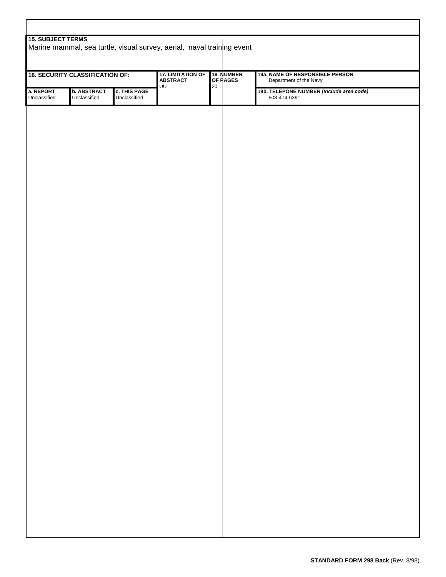| <b>15. SUBJECT TERMS</b>  |                                        |                              | Marine mammal, sea turtle, visual survey, aerial, naval trainng event |        |                                |                                                           |  |  |
|---------------------------|----------------------------------------|------------------------------|-----------------------------------------------------------------------|--------|--------------------------------|-----------------------------------------------------------|--|--|
|                           |                                        |                              |                                                                       |        |                                |                                                           |  |  |
|                           | <b>16. SECURITY CLASSIFICATION OF:</b> |                              | <b>17. LIMITATION OF</b><br><b>ABSTRACT</b>                           |        | <b>18. NUMBER<br/>OF PAGES</b> | 19a. NAME OF RESPONSIBLE PERSON<br>Department of the Navy |  |  |
| a. REPORT<br>Unclassified | <b>b. ABSTRACT</b><br>Unclassified     | c. THIS PAGE<br>Unclassified | UU                                                                    | $20\,$ |                                | 19b. TELEPONE NUMBER (Include area code)<br>808-474-6391  |  |  |
|                           |                                        |                              |                                                                       |        |                                |                                                           |  |  |
|                           |                                        |                              |                                                                       |        |                                |                                                           |  |  |
|                           |                                        |                              |                                                                       |        |                                |                                                           |  |  |
|                           |                                        |                              |                                                                       |        |                                |                                                           |  |  |
|                           |                                        |                              |                                                                       |        |                                |                                                           |  |  |
|                           |                                        |                              |                                                                       |        |                                |                                                           |  |  |
|                           |                                        |                              |                                                                       |        |                                |                                                           |  |  |
|                           |                                        |                              |                                                                       |        |                                |                                                           |  |  |
|                           |                                        |                              |                                                                       |        |                                |                                                           |  |  |
|                           |                                        |                              |                                                                       |        |                                |                                                           |  |  |
|                           |                                        |                              |                                                                       |        |                                |                                                           |  |  |
|                           |                                        |                              |                                                                       |        |                                |                                                           |  |  |
|                           |                                        |                              |                                                                       |        |                                |                                                           |  |  |
|                           |                                        |                              |                                                                       |        |                                |                                                           |  |  |
|                           |                                        |                              |                                                                       |        |                                |                                                           |  |  |
|                           |                                        |                              |                                                                       |        |                                |                                                           |  |  |
|                           |                                        |                              |                                                                       |        |                                |                                                           |  |  |
|                           |                                        |                              |                                                                       |        |                                |                                                           |  |  |
|                           |                                        |                              |                                                                       |        |                                |                                                           |  |  |
|                           |                                        |                              |                                                                       |        |                                |                                                           |  |  |
|                           |                                        |                              |                                                                       |        |                                |                                                           |  |  |
|                           |                                        |                              |                                                                       |        |                                |                                                           |  |  |
|                           |                                        |                              |                                                                       |        |                                |                                                           |  |  |
|                           |                                        |                              |                                                                       |        |                                |                                                           |  |  |
|                           |                                        |                              |                                                                       |        |                                |                                                           |  |  |
|                           |                                        |                              |                                                                       |        |                                |                                                           |  |  |
|                           |                                        |                              |                                                                       |        |                                |                                                           |  |  |
|                           |                                        |                              |                                                                       |        |                                |                                                           |  |  |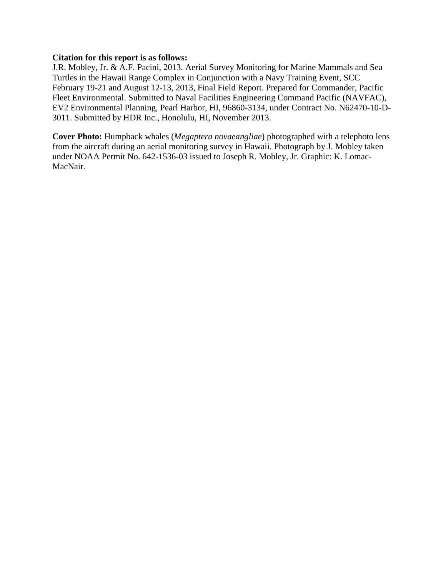#### **Citation for this report is as follows:**

J.R. Mobley, Jr. & A.F. Pacini, 2013. Aerial Survey Monitoring for Marine Mammals and Sea Turtles in the Hawaii Range Complex in Conjunction with a Navy Training Event, SCC February 19-21 and August 12-13, 2013, Final Field Report. Prepared for Commander, Pacific Fleet Environmental. Submitted to Naval Facilities Engineering Command Pacific (NAVFAC), EV2 Environmental Planning, Pearl Harbor, HI, 96860-3134, under Contract No. N62470-10-D-3011. Submitted by HDR Inc., Honolulu, HI, November 2013.

**Cover Photo:** Humpback whales (*Megaptera novaeangliae*) photographed with a telephoto lens from the aircraft during an aerial monitoring survey in Hawaii. Photograph by J. Mobley taken under NOAA Permit No. 642-1536-03 issued to Joseph R. Mobley, Jr. Graphic: K. Lomac-MacNair.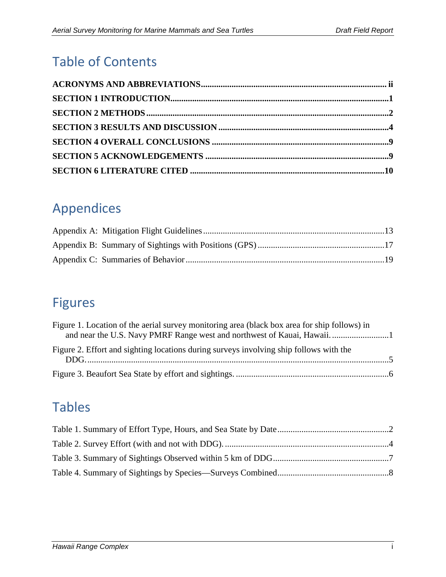# Table of Contents

# Appendices

# Figures

| Figure 1. Location of the aerial survey monitoring area (black box area for ship follows) in |  |
|----------------------------------------------------------------------------------------------|--|
|                                                                                              |  |
| Figure 2. Effort and sighting locations during surveys involving ship follows with the       |  |
|                                                                                              |  |

# Tables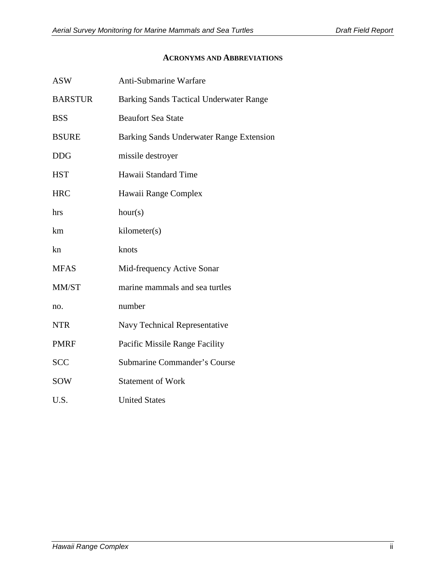#### **ACRONYMS AND ABBREVIATIONS**

| <b>ASW</b>     | Anti-Submarine Warfare                   |
|----------------|------------------------------------------|
| <b>BARSTUR</b> | Barking Sands Tactical Underwater Range  |
| <b>BSS</b>     | <b>Beaufort Sea State</b>                |
| <b>BSURE</b>   | Barking Sands Underwater Range Extension |
| <b>DDG</b>     | missile destroyer                        |
| <b>HST</b>     | Hawaii Standard Time                     |
| <b>HRC</b>     | Hawaii Range Complex                     |
| hrs            | hour(s)                                  |
| km             | kilometer(s)                             |
| kn             | knots                                    |
| <b>MFAS</b>    | Mid-frequency Active Sonar               |
| MM/ST          | marine mammals and sea turtles           |
| no.            | number                                   |
| <b>NTR</b>     | <b>Navy Technical Representative</b>     |
| <b>PMRF</b>    | Pacific Missile Range Facility           |
| <b>SCC</b>     | <b>Submarine Commander's Course</b>      |
| <b>SOW</b>     | <b>Statement of Work</b>                 |
| U.S.           | <b>United States</b>                     |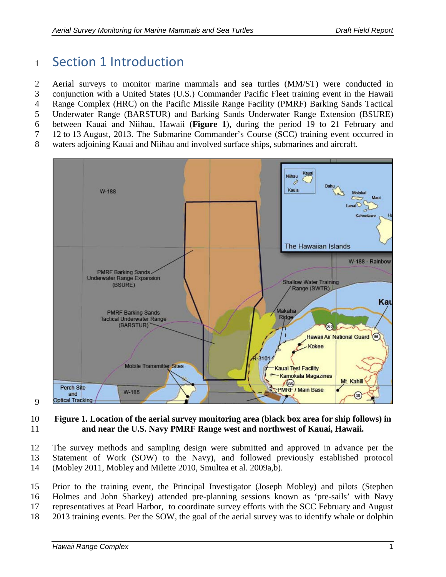### <span id="page-6-0"></span>Section 1 Introduction

 Aerial surveys to monitor marine mammals and sea turtles (MM/ST) were conducted in conjunction with a United States (U.S.) Commander Pacific Fleet training event in the Hawaii

Range Complex (HRC) on the Pacific Missile Range Facility (PMRF) Barking Sands Tactical

- Underwater Range (BARSTUR) and Barking Sands Underwater Range Extension (BSURE)
- between Kauai and Niihau, Hawaii (**Figure 1**), during the period 19 to 21 February and
- 12 to 13 August, 2013. The Submarine Commander's Course (SCC) training event occurred in
- waters adjoining Kauai and Niihau and involved surface ships, submarines and aircraft.



#### <span id="page-6-1"></span> **Figure 1. Location of the aerial survey monitoring area (black box area for ship follows) in and near the U.S. Navy PMRF Range west and northwest of Kauai, Hawaii.**

 The survey methods and sampling design were submitted and approved in advance per the Statement of Work (SOW) to the Navy), and followed previously established protocol (Mobley 2011, Mobley and Milette 2010, Smultea et al. 2009a,b).

 Prior to the training event, the Principal Investigator (Joseph Mobley) and pilots (Stephen Holmes and John Sharkey) attended pre-planning sessions known as 'pre-sails' with Navy representatives at Pearl Harbor, to coordinate survey efforts with the SCC February and August 2013 training events. Per the SOW, the goal of the aerial survey was to identify whale or dolphin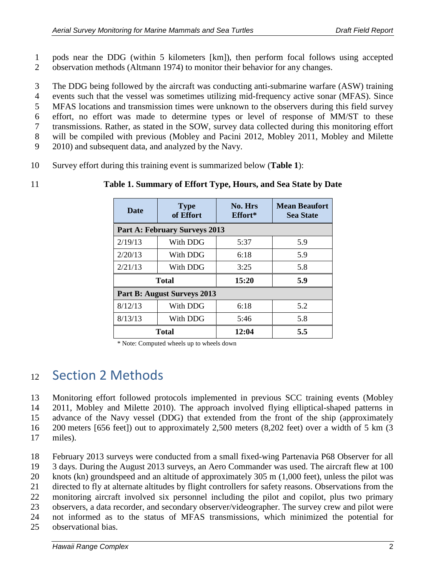1 pods near the DDG (within 5 kilometers [km]), then perform focal follows using accepted 2 observation methods (Altmann 1974) to monitor their behavior for any changes.

 The DDG being followed by the aircraft was conducting anti-submarine warfare (ASW) training events such that the vessel was sometimes utilizing mid-frequency active sonar (MFAS). Since MFAS locations and transmission times were unknown to the observers during this field survey effort, no effort was made to determine types or level of response of MM/ST to these

- 7 transmissions. Rather, as stated in the SOW, survey data collected during this monitoring effort 8 will be compiled with previous (Mobley and Pacini 2012, Mobley 2011, Mobley and Milette
- 
- 9 2010) and subsequent data, and analyzed by the Navy.
- 10 Survey effort during this training event is summarized below (**Table 1**):

<span id="page-7-1"></span>

#### 11 **Table 1. Summary of Effort Type, Hours, and Sea State by Date**

| Date    | <b>Type</b><br>of Effort           | No. Hrs<br>$Effort*$ | <b>Mean Beaufort</b><br><b>Sea State</b> |  |
|---------|------------------------------------|----------------------|------------------------------------------|--|
|         | Part A: February Surveys 2013      |                      |                                          |  |
| 2/19/13 | With DDG                           | 5:37                 | 5.9                                      |  |
| 2/20/13 | With DDG                           | 6:18                 | 5.9                                      |  |
| 2/21/13 | With DDG                           | 5.8<br>3:25          |                                          |  |
|         | <b>Total</b>                       | 15:20                | 5.9                                      |  |
|         | <b>Part B: August Surveys 2013</b> |                      |                                          |  |
| 8/12/13 | With DDG                           | 6:18                 | 5.2                                      |  |
| 8/13/13 | With DDG                           | 5:46                 | 5.8                                      |  |
|         | Total                              | 12:04                | 5.5                                      |  |

\* Note: Computed wheels up to wheels down

### <span id="page-7-0"></span><sup>12</sup> Section 2 Methods

 Monitoring effort followed protocols implemented in previous SCC training events (Mobley 2011, Mobley and Milette 2010). The approach involved flying elliptical-shaped patterns in advance of the Navy vessel (DDG) that extended from the front of the ship (approximately 200 meters [656 feet]) out to approximately 2,500 meters (8,202 feet) over a width of 5 km (3 17 miles).

18 February 2013 surveys were conducted from a small fixed-wing Partenavia P68 Observer for all

19 3 days. During the August 2013 surveys, an Aero Commander was used. The aircraft flew at 100

20 knots (kn) groundspeed and an altitude of approximately 305 m (1,000 feet), unless the pilot was

21 directed to fly at alternate altitudes by flight controllers for safety reasons. Observations from the

22 monitoring aircraft involved six personnel including the pilot and copilot, plus two primary

- 23 observers, a data recorder, and secondary observer/videographer. The survey crew and pilot were
- 24 not informed as to the status of MFAS transmissions, which minimized the potential for
- 25 observational bias.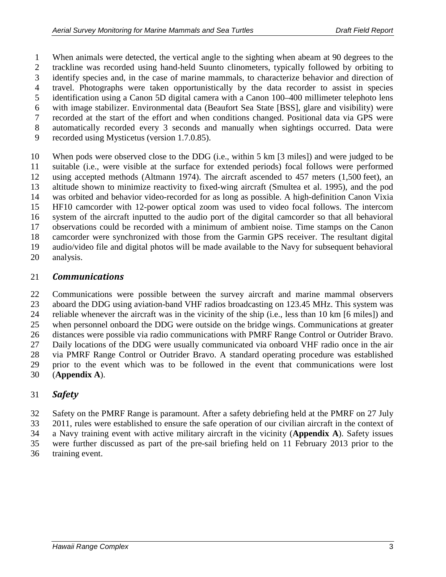When animals were detected, the vertical angle to the sighting when abeam at 90 degrees to the trackline was recorded using hand-held Suunto clinometers, typically followed by orbiting to identify species and, in the case of marine mammals, to characterize behavior and direction of travel. Photographs were taken opportunistically by the data recorder to assist in species identification using a Canon 5D digital camera with a Canon 100–400 millimeter telephoto lens with image stabilizer. Environmental data (Beaufort Sea State [BSS], glare and visibility) were recorded at the start of the effort and when conditions changed. Positional data via GPS were automatically recorded every 3 seconds and manually when sightings occurred. Data were recorded using Mysticetus (version 1.7.0.85).

 When pods were observed close to the DDG (i.e., within 5 km [3 miles]) and were judged to be suitable (i.e., were visible at the surface for extended periods) focal follows were performed using accepted methods (Altmann 1974). The aircraft ascended to 457 meters (1,500 feet), an altitude shown to minimize reactivity to fixed-wing aircraft (Smultea et al. 1995), and the pod was orbited and behavior video-recorded for as long as possible. A high-definition Canon Vixia HF10 camcorder with 12-power optical zoom was used to video focal follows. The intercom system of the aircraft inputted to the audio port of the digital camcorder so that all behavioral observations could be recorded with a minimum of ambient noise. Time stamps on the Canon camcorder were synchronized with those from the Garmin GPS receiver. The resultant digital audio/video file and digital photos will be made available to the Navy for subsequent behavioral

analysis.

#### *Communications*

 Communications were possible between the survey aircraft and marine mammal observers aboard the DDG using aviation-band VHF radios broadcasting on 123.45 MHz. This system was reliable whenever the aircraft was in the vicinity of the ship (i.e., less than 10 km [6 miles]) and when personnel onboard the DDG were outside on the bridge wings. Communications at greater distances were possible via radio communications with PMRF Range Control or Outrider Bravo. Daily locations of the DDG were usually communicated via onboard VHF radio once in the air via PMRF Range Control or Outrider Bravo. A standard operating procedure was established prior to the event which was to be followed in the event that communications were lost (**Appendix A**).

#### *Safety*

 Safety on the PMRF Range is paramount. After a safety debriefing held at the PMRF on 27 July 2011, rules were established to ensure the safe operation of our civilian aircraft in the context of

a Navy training event with active military aircraft in the vicinity (**Appendix A**). Safety issues

were further discussed as part of the pre-sail briefing held on 11 February 2013 prior to the

training event.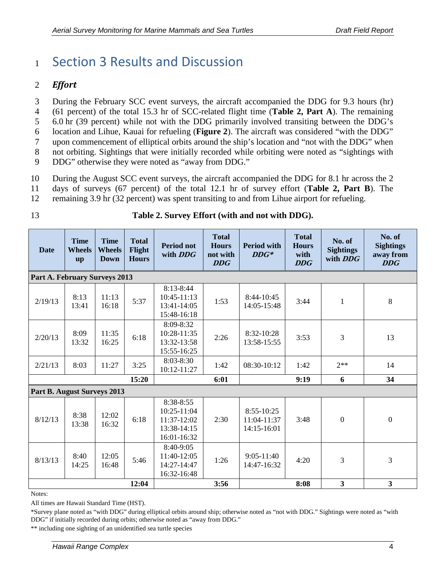# <span id="page-9-0"></span><sup>1</sup> Section 3 Results and Discussion

#### 2 *Effort*

 During the February SCC event surveys, the aircraft accompanied the DDG for 9.3 hours (hr) (61 percent) of the total 15.3 hr of SCC-related flight time (**Table 2, Part A**). The remaining 6.0 hr (39 percent) while not with the DDG primarily involved transiting between the DDG's location and Lihue, Kauai for refueling (**Figure 2**). The aircraft was considered "with the DDG" upon commencement of elliptical orbits around the ship's location and "not with the DDG" when not orbiting. Sightings that were initially recorded while orbiting were noted as "sightings with DDG" otherwise they were noted as "away from DDG."

10 During the August SCC event surveys, the aircraft accompanied the DDG for 8.1 hr across the 2

- 11 days of surveys (67 percent) of the total 12.1 hr of survey effort (**Table 2, Part B**). The
- 12 remaining 3.9 hr (32 percent) was spent transiting to and from Lihue airport for refueling.
- 

#### <span id="page-9-1"></span>13 **Table 2. Survey Effort (with and not with DDG).**

| <b>Date</b>                   | <b>Time</b><br><b>Wheels</b><br>up | <b>Time</b><br><b>Wheels</b><br><b>Down</b> | <b>Total</b><br>Flight<br><b>Hours</b> | <b>Period not</b><br>with DDG                                         | <b>Total</b><br><b>Hours</b><br>not with<br><b>DDG</b> | <b>Period with</b><br>$DDG^*$            | <b>Total</b><br><b>Hours</b><br>with<br><b>DDG</b> | No. of<br><b>Sightings</b><br>with $DDG$ | No. of<br><b>Sightings</b><br>away from<br><b>DDG</b> |
|-------------------------------|------------------------------------|---------------------------------------------|----------------------------------------|-----------------------------------------------------------------------|--------------------------------------------------------|------------------------------------------|----------------------------------------------------|------------------------------------------|-------------------------------------------------------|
| Part A. February Surveys 2013 |                                    |                                             |                                        |                                                                       |                                                        |                                          |                                                    |                                          |                                                       |
| 2/19/13                       | 8:13<br>13:41                      | 11:13<br>16:18                              | 5:37                                   | $8:13-8:44$<br>$10:45-11:13$<br>13:41-14:05<br>15:48-16:18            | 1:53                                                   | 8:44-10:45<br>14:05-15:48                | 3:44                                               | $\mathbf{1}$                             | 8                                                     |
| 2/20/13                       | 8:09<br>13:32                      | 11:35<br>16:25                              | 6:18                                   | 8:09-8:32<br>10:28-11:35<br>13:32-13:58<br>15:55-16:25                | 2:26                                                   | 8:32-10:28<br>13:58-15:55                | 3:53                                               | 3                                        | 13                                                    |
| 2/21/13                       | 8:03                               | 11:27                                       | 3:25                                   | 8:03-8:30<br>10:12-11:27                                              | 1:42                                                   | 08:30-10:12                              | 1:42                                               | $2**$                                    | 14                                                    |
|                               |                                    |                                             | 15:20                                  |                                                                       | 6:01                                                   |                                          | 9:19                                               | 6                                        | 34                                                    |
| Part B. August Surveys 2013   |                                    |                                             |                                        |                                                                       |                                                        |                                          |                                                    |                                          |                                                       |
| 8/12/13                       | 8:38<br>13:38                      | 12:02<br>16:32                              | 6:18                                   | 8:38-8:55<br>10:25-11:04<br>11:37-12:02<br>13:38-14:15<br>16:01-16:32 | 2:30                                                   | 8:55-10:25<br>11:04-11:37<br>14:15-16:01 | 3:48                                               | $\mathbf{0}$                             | $\mathbf{0}$                                          |
| 8/13/13                       | 8:40<br>14:25                      | 12:05<br>16:48                              | 5:46                                   | 8:40-9:05<br>11:40-12:05<br>14:27-14:47<br>16:32-16:48                | 1:26                                                   | $9:05-11:40$<br>14:47-16:32              | 4:20                                               | 3                                        | $\overline{3}$                                        |
|                               |                                    |                                             | 12:04                                  |                                                                       | 3:56                                                   |                                          | 8:08                                               | $\mathbf{3}$                             | $\mathbf{3}$                                          |

Notes:

All times are Hawaii Standard Time (HST).

\*Survey plane noted as "with DDG" during elliptical orbits around ship; otherwise noted as "not with DDG." Sightings were noted as "with DDG" if initially recorded during orbits; otherwise noted as "away from DDG."

\*\* including one sighting of an unidentified sea turtle species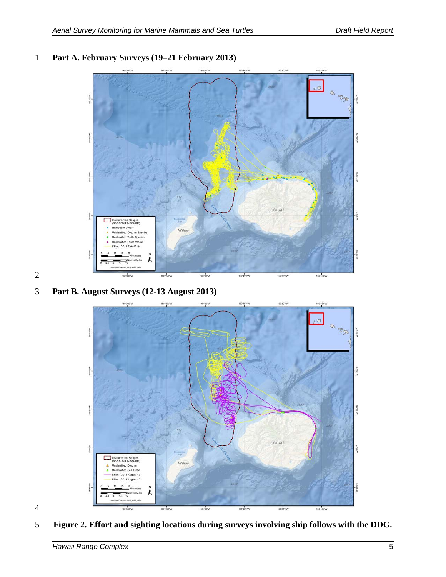

#### **Part A. February Surveys (19–21 February 2013)**

**Part B. August Surveys (12-13 August 2013)**



<span id="page-10-0"></span>**Figure 2. Effort and sighting locations during surveys involving ship follows with the DDG.**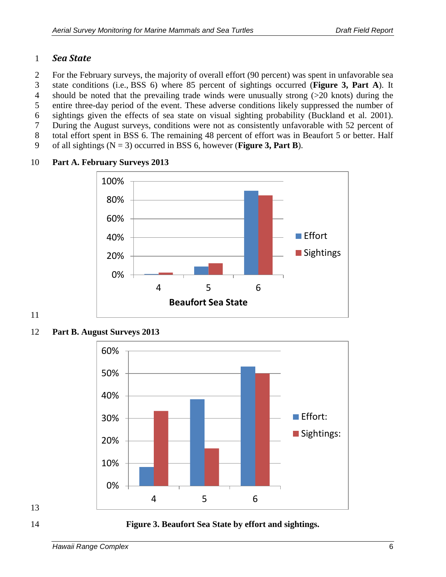#### 1 *Sea State*

 For the February surveys, the majority of overall effort (90 percent) was spent in unfavorable sea state conditions (i.e., BSS 6) where 85 percent of sightings occurred (**Figure 3, Part A**). It should be noted that the prevailing trade winds were unusually strong (>20 knots) during the entire three-day period of the event. These adverse conditions likely suppressed the number of sightings given the effects of sea state on visual sighting probability (Buckland et al. 2001). During the August surveys, conditions were not as consistently unfavorable with 52 percent of total effort spent in BSS 6. The remaining 48 percent of effort was in Beaufort 5 or better. Half of all sightings (N = 3) occurred in BSS 6, however (**Figure 3, Part B**).



#### 10 **Part A. February Surveys 2013**

11





13

<span id="page-11-0"></span>14 **Figure 3. Beaufort Sea State by effort and sightings.**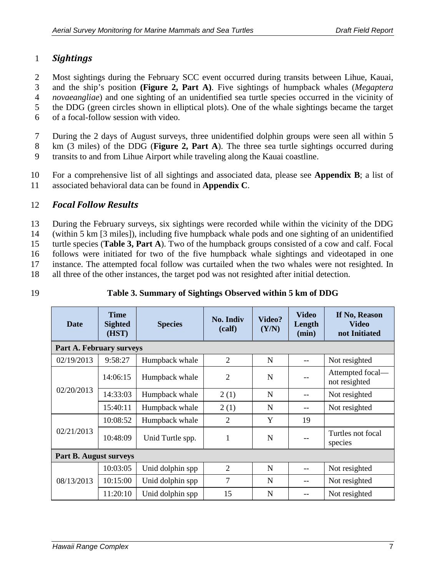### 1 *Sightings*

 Most sightings during the February SCC event occurred during transits between Lihue, Kauai, and the ship's position **(Figure 2, Part A)**. Five sightings of humpback whales (*Megaptera novaeangliae*) and one sighting of an unidentified sea turtle species occurred in the vicinity of the DDG (green circles shown in elliptical plots). One of the whale sightings became the target of a focal-follow session with video.

7 During the 2 days of August surveys, three unidentified dolphin groups were seen all within 5 8 km (3 miles) of the DDG (**Figure 2, Part A**). The three sea turtle sightings occurred during 9 transits to and from Lihue Airport while traveling along the Kauai coastline.

10 For a comprehensive list of all sightings and associated data, please see **Appendix B**; a list of 11 associated behavioral data can be found in **Appendix C**.

#### 12 *Focal Follow Results*

 During the February surveys, six sightings were recorded while within the vicinity of the DDG (within 5 km [3 miles]), including five humpback whale pods and one sighting of an unidentified turtle species (**Table 3, Part A**). Two of the humpback groups consisted of a cow and calf. Focal follows were initiated for two of the five humpback whale sightings and videotaped in one instance. The attempted focal follow was curtailed when the two whales were not resighted. In all three of the other instances, the target pod was not resighted after initial detection.

<span id="page-12-0"></span>

| <b>Date</b>                   | <b>Time</b><br><b>Sighted</b><br>(HST) | <b>Species</b>   | <b>No. Indiv</b><br>(calf) | Video?<br>(Y/N) | <b>Video</b><br>Length<br>(min) | If No, Reason<br><b>Video</b><br>not Initiated |
|-------------------------------|----------------------------------------|------------------|----------------------------|-----------------|---------------------------------|------------------------------------------------|
| Part A. February surveys      |                                        |                  |                            |                 |                                 |                                                |
| 02/19/2013                    | 9:58:27                                | Humpback whale   | $\overline{2}$             | N               | $-$                             | Not resighted                                  |
|                               | 14:06:15                               | Humpback whale   | 2                          | N               | --                              | Attempted focal-<br>not resighted              |
| 02/20/2013                    | 14:33:03                               | Humpback whale   | 2(1)                       | N               | --                              | Not resighted                                  |
|                               | 15:40:11                               | Humpback whale   | 2(1)                       | N               | --                              | Not resighted                                  |
|                               | 10:08:52                               | Humpback whale   | 2                          | Y               | 19                              |                                                |
| 02/21/2013                    | 10:48:09                               | Unid Turtle spp. | 1                          | N               | --                              | Turtles not focal<br>species                   |
| <b>Part B. August surveys</b> |                                        |                  |                            |                 |                                 |                                                |
|                               | 10:03:05                               | Unid dolphin spp | $\overline{2}$             | N               | --                              | Not resighted                                  |
| 08/13/2013                    | 10:15:00                               | Unid dolphin spp | 7                          | N               | --                              | Not resighted                                  |
|                               | 11:20:10                               | Unid dolphin spp | 15                         | N               |                                 | Not resighted                                  |

#### 19 **Table 3. Summary of Sightings Observed within 5 km of DDG**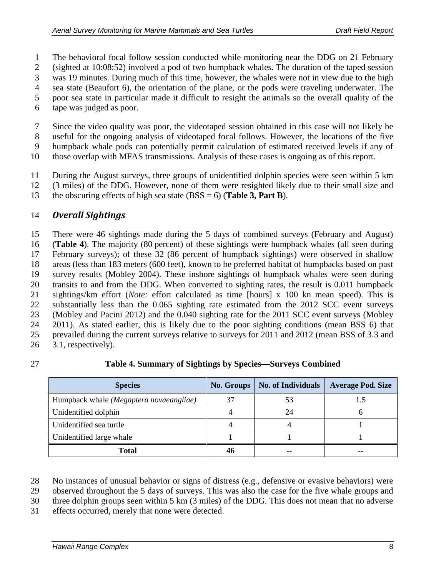- The behavioral focal follow session conducted while monitoring near the DDG on 21 February
- (sighted at 10:08:52) involved a pod of two humpback whales. The duration of the taped session
- was 19 minutes. During much of this time, however, the whales were not in view due to the high
- sea state (Beaufort 6), the orientation of the plane, or the pods were traveling underwater. The
- poor sea state in particular made it difficult to resight the animals so the overall quality of the
- tape was judged as poor.

 Since the video quality was poor, the videotaped session obtained in this case will not likely be useful for the ongoing analysis of videotaped focal follows. However, the locations of the five

humpback whale pods can potentially permit calculation of estimated received levels if any of

those overlap with MFAS transmissions. Analysis of these cases is ongoing as of this report.

- During the August surveys, three groups of unidentified dolphin species were seen within 5 km
- (3 miles) of the DDG. However, none of them were resighted likely due to their small size and
- the obscuring effects of high sea state (BSS = 6) (**Table 3, Part B**).

### *Overall Sightings*

 There were 46 sightings made during the 5 days of combined surveys (February and August) (**Table 4**). The majority (80 percent) of these sightings were humpback whales (all seen during February surveys); of these 32 (86 percent of humpback sightings) were observed in shallow areas (less than 183 meters (600 feet), known to be preferred habitat of humpbacks based on past survey results (Mobley 2004). These inshore sightings of humpback whales were seen during transits to and from the DDG. When converted to sighting rates, the result is 0.011 humpback sightings/km effort (*Note:* effort calculated as time [hours] x 100 kn mean speed). This is substantially less than the 0.065 sighting rate estimated from the 2012 SCC event surveys (Mobley and Pacini 2012) and the 0.040 sighting rate for the 2011 SCC event surveys (Mobley 2011). As stated earlier, this is likely due to the poor sighting conditions (mean BSS 6) that prevailed during the current surveys relative to surveys for 2011 and 2012 (mean BSS of 3.3 and 3.1, respectively).

| ۰. |
|----|
|    |

#### **Table 4. Summary of Sightings by Species—Surveys Combined**

<span id="page-13-0"></span>

| <b>Species</b>                          | <b>No. Groups</b> | <b>No. of Individuals</b> | <b>Average Pod. Size</b> |
|-----------------------------------------|-------------------|---------------------------|--------------------------|
| Humpback whale (Megaptera novaeangliae) |                   | 53                        |                          |
| Unidentified dolphin                    |                   | 24                        |                          |
| Unidentified sea turtle                 |                   |                           |                          |
| Unidentified large whale                |                   |                           |                          |
| Total                                   |                   | --                        |                          |

No instances of unusual behavior or signs of distress (e.g., defensive or evasive behaviors) were

observed throughout the 5 days of surveys. This was also the case for the five whale groups and

three dolphin groups seen within 5 km (3 miles) of the DDG. This does not mean that no adverse

effects occurred, merely that none were detected.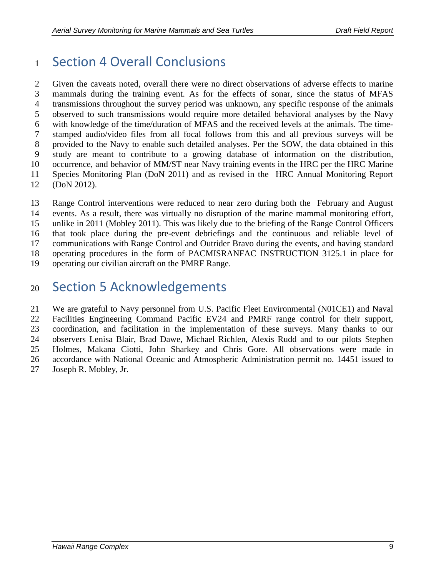### <span id="page-14-0"></span>Section 4 Overall Conclusions

 Given the caveats noted, overall there were no direct observations of adverse effects to marine mammals during the training event. As for the effects of sonar, since the status of MFAS transmissions throughout the survey period was unknown, any specific response of the animals observed to such transmissions would require more detailed behavioral analyses by the Navy with knowledge of the time/duration of MFAS and the received levels at the animals. The time- stamped audio/video files from all focal follows from this and all previous surveys will be provided to the Navy to enable such detailed analyses. Per the SOW, the data obtained in this study are meant to contribute to a growing database of information on the distribution, occurrence, and behavior of MM/ST near Navy training events in the HRC per the HRC Marine Species Monitoring Plan (DoN 2011) and as revised in the HRC Annual Monitoring Report (DoN 2012).

- Range Control interventions were reduced to near zero during both the February and August
- events. As a result, there was virtually no disruption of the marine mammal monitoring effort,
- unlike in 2011 (Mobley 2011). This was likely due to the briefing of the Range Control Officers
- that took place during the pre-event debriefings and the continuous and reliable level of
- communications with Range Control and Outrider Bravo during the events, and having standard
- operating procedures in the form of PACMISRANFAC INSTRUCTION 3125.1 in place for
- operating our civilian aircraft on the PMRF Range.

### <span id="page-14-1"></span>Section 5 Acknowledgements

 We are grateful to Navy personnel from U.S. Pacific Fleet Environmental (N01CE1) and Naval Facilities Engineering Command Pacific EV24 and PMRF range control for their support, coordination, and facilitation in the implementation of these surveys. Many thanks to our observers Lenisa Blair, Brad Dawe, Michael Richlen, Alexis Rudd and to our pilots Stephen Holmes, Makana Ciotti, John Sharkey and Chris Gore. All observations were made in accordance with National Oceanic and Atmospheric Administration permit no. 14451 issued to Joseph R. Mobley, Jr.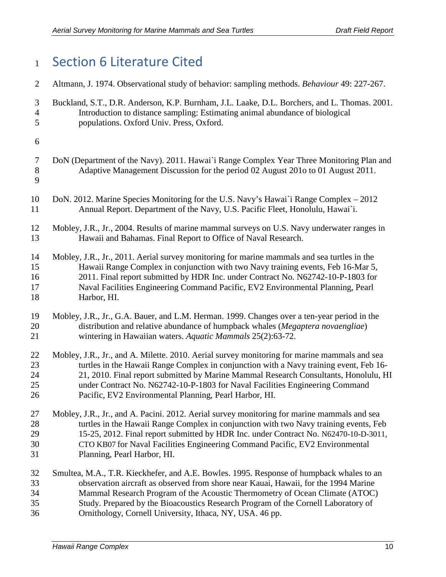# <span id="page-15-0"></span>Section 6 Literature Cited

| $\mathbf{2}$         | Altmann, J. 1974. Observational study of behavior: sampling methods. Behaviour 49: 227-267.                                                                                 |
|----------------------|-----------------------------------------------------------------------------------------------------------------------------------------------------------------------------|
| 3                    | Buckland, S.T., D.R. Anderson, K.P. Burnham, J.L. Laake, D.L. Borchers, and L. Thomas. 2001.                                                                                |
| $\overline{4}$       | Introduction to distance sampling: Estimating animal abundance of biological                                                                                                |
| 5                    | populations. Oxford Univ. Press, Oxford.                                                                                                                                    |
| 6                    |                                                                                                                                                                             |
| $\tau$<br>$8\,$<br>9 | DoN (Department of the Navy). 2011. Hawai'i Range Complex Year Three Monitoring Plan and<br>Adaptive Management Discussion for the period 02 August 2010 to 01 August 2011. |
| 10                   | DoN. 2012. Marine Species Monitoring for the U.S. Navy's Hawai'i Range Complex – 2012                                                                                       |
| 11                   | Annual Report. Department of the Navy, U.S. Pacific Fleet, Honolulu, Hawai`i.                                                                                               |
| 12                   | Mobley, J.R., Jr., 2004. Results of marine mammal surveys on U.S. Navy underwater ranges in                                                                                 |
| 13                   | Hawaii and Bahamas. Final Report to Office of Naval Research.                                                                                                               |
| 14                   | Mobley, J.R., Jr., 2011. Aerial survey monitoring for marine mammals and sea turtles in the                                                                                 |
| 15                   | Hawaii Range Complex in conjunction with two Navy training events, Feb 16-Mar 5,                                                                                            |
| 16                   | 2011. Final report submitted by HDR Inc. under Contract No. N62742-10-P-1803 for                                                                                            |
| 17                   | Naval Facilities Engineering Command Pacific, EV2 Environmental Planning, Pearl                                                                                             |
| 18                   | Harbor, HI.                                                                                                                                                                 |
| 19                   | Mobley, J.R., Jr., G.A. Bauer, and L.M. Herman. 1999. Changes over a ten-year period in the                                                                                 |
| 20                   | distribution and relative abundance of humpback whales (Megaptera novaengliae)                                                                                              |
| 21                   | wintering in Hawaiian waters. Aquatic Mammals 25(2):63-72.                                                                                                                  |
| 22                   | Mobley, J.R., Jr., and A. Milette. 2010. Aerial survey monitoring for marine mammals and sea                                                                                |
| 23                   | turtles in the Hawaii Range Complex in conjunction with a Navy training event, Feb 16-                                                                                      |
| 24                   | 21, 2010. Final report submitted by Marine Mammal Research Consultants, Honolulu, HI                                                                                        |
| 25                   | under Contract No. N62742-10-P-1803 for Naval Facilities Engineering Command                                                                                                |
| 26                   | Pacific, EV2 Environmental Planning, Pearl Harbor, HI.                                                                                                                      |
| 27                   | Mobley, J.R., Jr., and A. Pacini. 2012. Aerial survey monitoring for marine mammals and sea                                                                                 |
| 28                   | turtles in the Hawaii Range Complex in conjunction with two Navy training events, Feb                                                                                       |
| 29                   | 15-25, 2012. Final report submitted by HDR Inc. under Contract No. N62470-10-D-3011,                                                                                        |
| 30                   | CTO KB07 for Naval Facilities Engineering Command Pacific, EV2 Environmental                                                                                                |
| 31                   | Planning, Pearl Harbor, HI.                                                                                                                                                 |
| 32                   | Smultea, M.A., T.R. Kieckhefer, and A.E. Bowles. 1995. Response of humpback whales to an                                                                                    |
| 33                   | observation aircraft as observed from shore near Kauai, Hawaii, for the 1994 Marine                                                                                         |
| 34                   | Mammal Research Program of the Acoustic Thermometry of Ocean Climate (ATOC)                                                                                                 |
| 35                   | Study. Prepared by the Bioacoustics Research Program of the Cornell Laboratory of                                                                                           |
| 36                   | Ornithology, Cornell University, Ithaca, NY, USA. 46 pp.                                                                                                                    |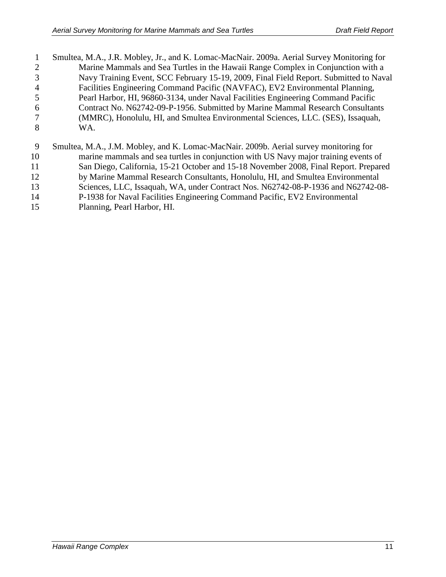- Smultea, M.A., J.R. Mobley, Jr., and K. Lomac-MacNair. 2009a. Aerial Survey Monitoring for Marine Mammals and Sea Turtles in the Hawaii Range Complex in Conjunction with a Navy Training Event, SCC February 15-19, 2009, Final Field Report. Submitted to Naval Facilities Engineering Command Pacific (NAVFAC), EV2 Environmental Planning, Pearl Harbor, HI, 96860-3134, under Naval Facilities Engineering Command Pacific Contract No. N62742-09-P-1956. Submitted by Marine Mammal Research Consultants (MMRC), Honolulu, HI, and Smultea Environmental Sciences, LLC. (SES), Issaquah, WA.
- Smultea, M.A., J.M. Mobley, and K. Lomac-MacNair. 2009b. Aerial survey monitoring for marine mammals and sea turtles in conjunction with US Navy major training events of San Diego, California, 15-21 October and 15-18 November 2008, Final Report. Prepared by Marine Mammal Research Consultants, Honolulu, HI, and Smultea Environmental Sciences, LLC, Issaquah, WA, under Contract Nos. N62742-08-P-1936 and N62742-08- P-1938 for Naval Facilities Engineering Command Pacific, EV2 Environmental
- Planning, Pearl Harbor, HI.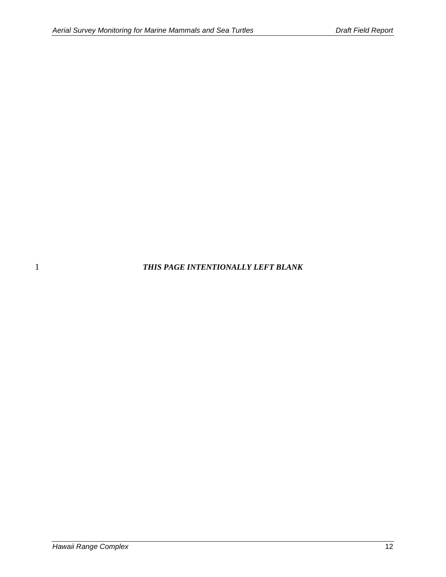#### 1 *THIS PAGE INTENTIONALLY LEFT BLANK*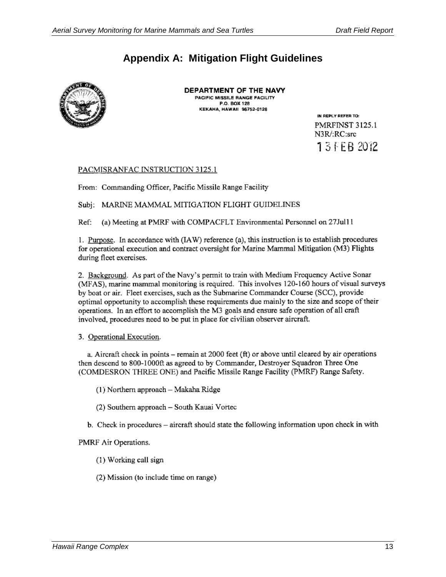### **Appendix A: Mitigation Flight Guidelines**

<span id="page-18-0"></span>

DEPARTMENT OF THE NAVY PACIFIC MISSILE RANGE FACILITY P.O. BOX 128 KEKAHA, HAWAII 96752-0128

IN REPLY REFER TO: **PMRFINST 3125.1** N3R/:RC:src 13 FEB 2012

#### PACMISRANFAC INSTRUCTION 3125.1

From: Commanding Officer, Pacific Missile Range Facility

Subj: MARINE MAMMAL MITIGATION FLIGHT GUIDELINES

Ref: (a) Meeting at PMRF with COMPACFLT Environmental Personnel on 27Jul11

1. Purpose. In accordance with (IAW) reference (a), this instruction is to establish procedures for operational execution and contract oversight for Marine Mammal Mitigation (M3) Flights during fleet exercises.

2. Background. As part of the Navy's permit to train with Medium Frequency Active Sonar (MFAS), marine mammal monitoring is required. This involves 120-160 hours of visual surveys by boat or air. Fleet exercises, such as the Submarine Commander Course (SCC), provide optimal opportunity to accomplish these requirements due mainly to the size and scope of their operations. In an effort to accomplish the M3 goals and ensure safe operation of all craft involved, procedures need to be put in place for civilian observer aircraft.

#### 3. Operational Execution.

a. Aircraft check in points - remain at 2000 feet (ft) or above until cleared by air operations then descend to 800-1000ft as agreed to by Commander, Destroyer Squadron Three One (COMDESRON THREE ONE) and Pacific Missile Range Facility (PMRF) Range Safety.

 $(1)$  Northern approach – Makaha Ridge

- (2) Southern approach South Kauai Vortec
- b. Check in procedures aircraft should state the following information upon check in with

#### PMRF Air Operations.

- (1) Working call sign
- (2) Mission (to include time on range)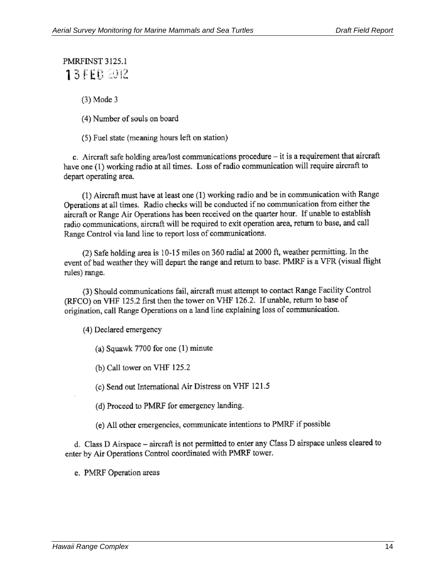### PMRFINST 3125.1 13 FEB 2012

 $(3)$  Mode 3

- (4) Number of souls on board
- (5) Fuel state (meaning hours left on station)

c. Aircraft safe holding area/lost communications procedure  $-$  it is a requirement that aircraft have one (1) working radio at all times. Loss of radio communication will require aircraft to depart operating area.

(1) Aircraft must have at least one (1) working radio and be in communication with Range Operations at all times. Radio checks will be conducted if no communication from either the aircraft or Range Air Operations has been received on the quarter hour. If unable to establish radio communications, aircraft will be required to exit operation area, return to base, and call Range Control via land line to report loss of communications.

(2) Safe holding area is 10-15 miles on 360 radial at 2000 ft, weather permitting. In the event of bad weather they will depart the range and return to base. PMRF is a VFR (visual flight rules) range.

(3) Should communications fail, aircraft must attempt to contact Range Facility Control (RFCO) on VHF 125.2 first then the tower on VHF 126.2. If unable, return to base of origination, call Range Operations on a land line explaining loss of communication.

(4) Declared emergency

(a) Squawk 7700 for one  $(1)$  minute

(b) Call tower on VHF 125.2

(c) Send out International Air Distress on VHF 121.5

- (d) Proceed to PMRF for emergency landing.
- (e) All other emergencies, communicate intentions to PMRF if possible

d. Class D Airspace - aircraft is not permitted to enter any Class D airspace unless cleared to enter by Air Operations Control coordinated with PMRF tower.

e. PMRF Operation areas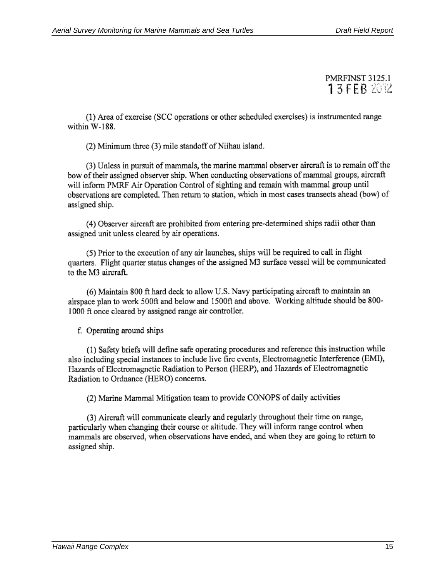#### PMRFINST 3125.1 **13FEB 2512**

(1) Area of exercise (SCC operations or other scheduled exercises) is instrumented range within W-188.

(2) Minimum three (3) mile standoff of Niihau island.

(3) Unless in pursuit of mammals, the marine mammal observer aircraft is to remain off the bow of their assigned observer ship. When conducting observations of mammal groups, aircraft will inform PMRF Air Operation Control of sighting and remain with mammal group until observations are completed. Then return to station, which in most cases transects ahead (bow) of assigned ship.

(4) Observer aircraft are prohibited from entering pre-determined ships radii other than assigned unit unless cleared by air operations.

(5) Prior to the execution of any air launches, ships will be required to call in flight quarters. Flight quarter status changes of the assigned M3 surface vessel will be communicated to the M3 aircraft.

(6) Maintain 800 ft hard deck to allow U.S. Navy participating aircraft to maintain an airspace plan to work 500ft and below and 1500ft and above. Working altitude should be 800-1000 ft once cleared by assigned range air controller.

f. Operating around ships

(1) Safety briefs will define safe operating procedures and reference this instruction while also including special instances to include live fire events, Electromagnetic Interference (EMI), Hazards of Electromagnetic Radiation to Person (HERP), and Hazards of Electromagnetic Radiation to Ordnance (HERO) concerns.

(2) Marine Mammal Mitigation team to provide CONOPS of daily activities

(3) Aircraft will communicate clearly and regularly throughout their time on range, particularly when changing their course or altitude. They will inform range control when mammals are observed, when observations have ended, and when they are going to return to assigned ship.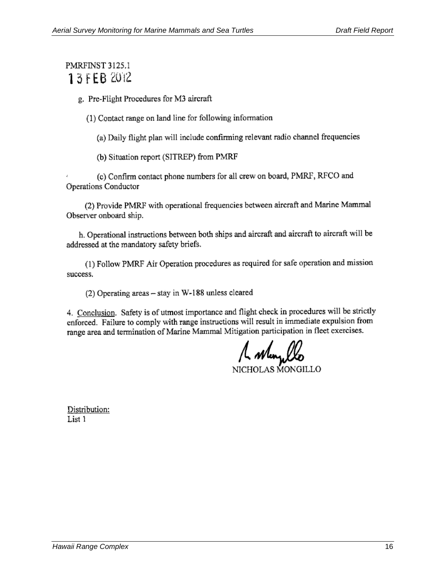### PMRFINST 3125.1 13FEB 2012

g. Pre-Flight Procedures for M3 aircraft

(1) Contact range on land line for following information

(a) Daily flight plan will include confirming relevant radio channel frequencies

(b) Situation report (SITREP) from PMRF

(c) Confirm contact phone numbers for all crew on board, PMRF, RFCO and Operations Conductor

(2) Provide PMRF with operational frequencies between aircraft and Marine Mammal Observer onboard ship.

h. Operational instructions between both ships and aircraft and aircraft to aircraft will be addressed at the mandatory safety briefs.

(1) Follow PMRF Air Operation procedures as required for safe operation and mission success.

 $(2)$  Operating areas – stay in W-188 unless cleared

4. Conclusion. Safety is of utmost importance and flight check in procedures will be strictly enforced. Failure to comply with range instructions will result in immediate expulsion from range area and termination of Marine Mammal Mitigation participation in fleet exercises.

NICHOLAS MONGILLO

Distribution: List 1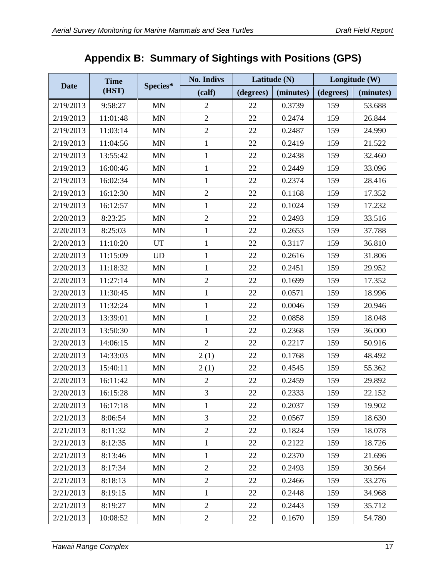#### <span id="page-22-0"></span>Date Time (HST)  $S$ **pecies**\* **No. Indivs Latitude (N) Longitude (W) (calf) (degrees) (minutes) (degrees) (minutes)** 2/19/2013 9:58:27 | MN | 2 | 22 | 0.3739 | 159 | 53.688 2/19/2013 | 11:01:48 | MN | 2 | 22 | 0.2474 | 159 | 26.844 2/19/2013 | 11:03:14 | MN | 2 | 22 | 0.2487 | 159 | 24.990 2/19/2013 | 11:04:56 | MN | 1 | 22 | 0.2419 | 159 | 21.522 2/19/2013 | 13:55:42 | MN | 1 | 22 | 0.2438 | 159 | 32.460 2/19/2013 | 16:00:46 | MN | 1 | 22 | 0.2449 | 159 | 33.096 2/19/2013 | 16:02:34 | MN | 1 | 22 | 0.2374 | 159 | 28.416 2/19/2013 | 16:12:30 | MN | 2 | 22 | 0.1168 | 159 | 17.352 2/19/2013 | 16:12:57 | MN | 1 | 22 | 0.1024 | 159 | 17.232 2/20/2013 8:23:25 | MN | 2 | 22 | 0.2493 | 159 | 33.516 2/20/2013 8:25:03 | MN | 1 | 22 | 0.2653 | 159 | 37.788 2/20/2013 | 11:10:20 | UT | 1 | 22 | 0.3117 | 159 | 36.810 2/20/2013 11:15:09 UD 1 22 0.2616 159 31.806 2/20/2013 11:18:32 MN 1 22 0.2451 159 29.952 2/20/2013 | 11:27:14 | MN | 2 | 22 | 0.1699 | 159 | 17.352 2/20/2013 | 11:30:45 | MN | 1 | 22 | 0.0571 | 159 | 18.996 2/20/2013 11:32:24 | MN | 1 | 22 | 0.0046 | 159 | 20.946 2/20/2013 | 13:39:01 | MN | 1 | 22 | 0.0858 | 159 | 18.048

2/20/2013 | 13:50:30 | MN | 1 | 22 | 0.2368 | 159 | 36.000 2/20/2013 | 14:06:15 | MN | 2 | 22 | 0.2217 | 159 | 50.916 2/20/2013 | 14:33:03 | MN | 2(1) | 22 | 0.1768 | 159 | 48.492 2/20/2013 | 15:40:11 | MN | 2(1) | 22 | 0.4545 | 159 | 55.362 2/20/2013 | 16:11:42 | MN | 2 | 22 | 0.2459 | 159 | 29.892 2/20/2013 | 16:15:28 | MN | 3 | 22 | 0.2333 | 159 | 22.152 2/20/2013 | 16:17:18 | MN | 1 | 22 | 0.2037 | 159 | 19.902 2/21/2013 8:06:54 | MN | 3 | 22 | 0.0567 | 159 | 18.630 2/21/2013 8:11:32 | MN | 2 | 22 | 0.1824 | 159 | 18.078 2/21/2013 8:12:35 | MN | 1 | 22 | 0.2122 | 159 | 18.726 2/21/2013 8:13:46 | MN | 1 | 22 | 0.2370 | 159 | 21.696 2/21/2013 8:17:34 | MN | 2 | 22 | 0.2493 | 159 | 30.564 2/21/2013 | 8:18:13 | MN | 2 | 22 | 0.2466 | 159 | 33.276 2/21/2013 8:19:15 | MN | 1 | 22 | 0.2448 | 159 | 34.968 2/21/2013 8:19:27 | MN | 2 | 22 | 0.2443 | 159 | 35.712 2/21/2013 | 10:08:52 | MN | 2 | 22 | 0.1670 | 159 | 54.780

### **Appendix B: Summary of Sightings with Positions (GPS)**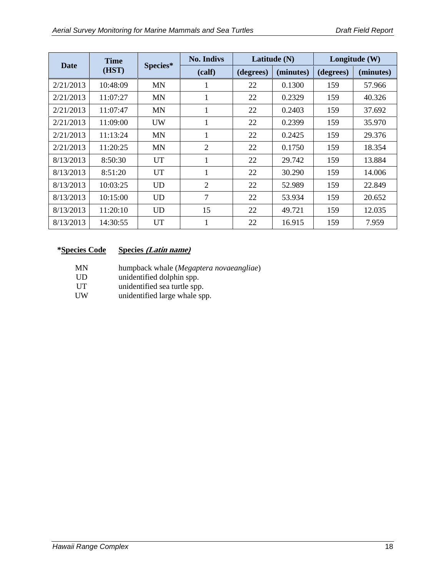|             | <b>Time</b><br>(HST) | Species*  | <b>No. Indivs</b> | Latitude (N) |           | Longitude (W) |           |
|-------------|----------------------|-----------|-------------------|--------------|-----------|---------------|-----------|
| <b>Date</b> |                      |           | $\text{(calf)}$   | (degrees)    | (minutes) | (degrees)     | (minutes) |
| 2/21/2013   | 10:48:09             | <b>MN</b> | 1                 | 22           | 0.1300    | 159           | 57.966    |
| 2/21/2013   | 11:07:27             | <b>MN</b> | 1                 | 22           | 0.2329    | 159           | 40.326    |
| 2/21/2013   | 11:07:47             | MN        | 1                 | 22           | 0.2403    | 159           | 37.692    |
| 2/21/2013   | 11:09:00             | UW        | 1                 | 22           | 0.2399    | 159           | 35.970    |
| 2/21/2013   | 11:13:24             | <b>MN</b> | 1                 | 22           | 0.2425    | 159           | 29.376    |
| 2/21/2013   | 11:20:25             | <b>MN</b> | 2                 | 22           | 0.1750    | 159           | 18.354    |
| 8/13/2013   | 8:50:30              | <b>UT</b> | 1                 | 22           | 29.742    | 159           | 13.884    |
| 8/13/2013   | 8:51:20              | <b>UT</b> |                   | 22           | 30.290    | 159           | 14.006    |
| 8/13/2013   | 10:03:25             | <b>UD</b> | $\overline{2}$    | 22           | 52.989    | 159           | 22.849    |
| 8/13/2013   | 10:15:00             | <b>UD</b> | 7                 | 22           | 53.934    | 159           | 20.652    |
| 8/13/2013   | 11:20:10             | <b>UD</b> | 15                | 22           | 49.721    | 159           | 12.035    |
| 8/13/2013   | 14:30:55             | UT        | 1                 | 22           | 16.915    | 159           | 7.959     |

#### **\*Species Code Species (Latin name)**

- MN humpback whale (*Megaptera novaeangliae*)
- UD unidentified dolphin spp.<br>UT unidentified sea turtle spp
- UT unidentified sea turtle spp.<br>UW unidentified large whale sp
- unidentified large whale spp.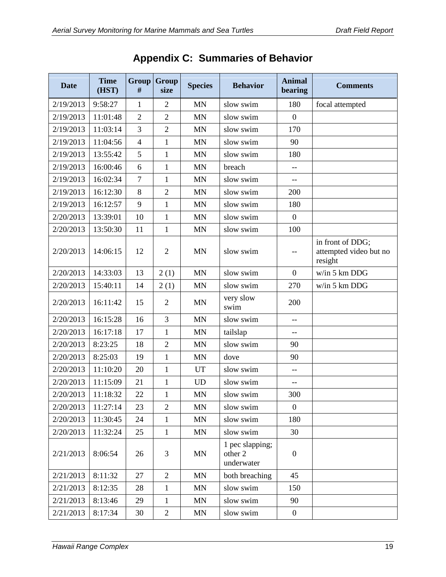<span id="page-24-0"></span>

| <b>Date</b> | <b>Time</b><br>(HST) | <b>Group</b><br># | Group<br>size  | <b>Species</b> | <b>Behavior</b>                          | <b>Animal</b><br>bearing | <b>Comments</b>                                       |
|-------------|----------------------|-------------------|----------------|----------------|------------------------------------------|--------------------------|-------------------------------------------------------|
| 2/19/2013   | 9:58:27              | 1                 | $\overline{2}$ | <b>MN</b>      | slow swim                                | 180                      | focal attempted                                       |
| 2/19/2013   | 11:01:48             | $\overline{2}$    | $\overline{2}$ | <b>MN</b>      | slow swim                                | $\mathbf{0}$             |                                                       |
| 2/19/2013   | 11:03:14             | 3                 | $\overline{2}$ | <b>MN</b>      | slow swim                                | 170                      |                                                       |
| 2/19/2013   | 11:04:56             | $\overline{4}$    | $\mathbf{1}$   | <b>MN</b>      | slow swim                                | 90                       |                                                       |
| 2/19/2013   | 13:55:42             | 5                 | $\mathbf{1}$   | <b>MN</b>      | slow swim                                | 180                      |                                                       |
| 2/19/2013   | 16:00:46             | 6                 | $\mathbf{1}$   | <b>MN</b>      | breach                                   |                          |                                                       |
| 2/19/2013   | 16:02:34             | $\overline{7}$    | $\mathbf{1}$   | <b>MN</b>      | slow swim                                | $\overline{\phantom{a}}$ |                                                       |
| 2/19/2013   | 16:12:30             | $\,8\,$           | $\overline{2}$ | <b>MN</b>      | slow swim                                | 200                      |                                                       |
| 2/19/2013   | 16:12:57             | 9                 | $\mathbf{1}$   | <b>MN</b>      | slow swim                                | 180                      |                                                       |
| 2/20/2013   | 13:39:01             | 10                | $\mathbf{1}$   | <b>MN</b>      | slow swim                                | $\overline{0}$           |                                                       |
| 2/20/2013   | 13:50:30             | 11                | $\mathbf{1}$   | <b>MN</b>      | slow swim                                | 100                      |                                                       |
| 2/20/2013   | 14:06:15             | 12                | $\overline{2}$ | <b>MN</b>      | slow swim                                | $-$                      | in front of DDG;<br>attempted video but no<br>resight |
| 2/20/2013   | 14:33:03             | 13                | 2(1)           | <b>MN</b>      | slow swim                                | $\overline{0}$           | w/in 5 km DDG                                         |
| 2/20/2013   | 15:40:11             | 14                | 2(1)           | <b>MN</b>      | slow swim                                | 270                      | w/in 5 km DDG                                         |
| 2/20/2013   | 16:11:42             | 15                | $\mathfrak{2}$ | <b>MN</b>      | very slow<br>swim                        | 200                      |                                                       |
| 2/20/2013   | 16:15:28             | 16                | 3              | <b>MN</b>      | slow swim                                | $\qquad \qquad -$        |                                                       |
| 2/20/2013   | 16:17:18             | 17                | $\mathbf{1}$   | <b>MN</b>      | tailslap                                 | $-$                      |                                                       |
| 2/20/2013   | 8:23:25              | 18                | $\overline{c}$ | <b>MN</b>      | slow swim                                | 90                       |                                                       |
| 2/20/2013   | 8:25:03              | 19                | $\mathbf{1}$   | <b>MN</b>      | dove                                     | 90                       |                                                       |
| 2/20/2013   | 11:10:20             | 20                | $\mathbf{1}$   | <b>UT</b>      | slow swim                                | $\overline{a}$           |                                                       |
| 2/20/2013   | 11:15:09             | 21                | $\mathbf{1}$   | <b>UD</b>      | slow swim                                | $-$                      |                                                       |
| 2/20/2013   | 11:18:32             | 22                | $\mathbf{1}$   | <b>MN</b>      | slow swim                                | 300                      |                                                       |
| 2/20/2013   | 11:27:14             | 23                | $\overline{2}$ | <b>MN</b>      | slow swim                                | $\mathbf{0}$             |                                                       |
| 2/20/2013   | 11:30:45             | 24                | $\mathbf{1}$   | <b>MN</b>      | slow swim                                | 180                      |                                                       |
| 2/20/2013   | 11:32:24             | 25                | $\mathbf{1}$   | <b>MN</b>      | slow swim                                | 30                       |                                                       |
| 2/21/2013   | 8:06:54              | 26                | 3              | <b>MN</b>      | 1 pec slapping;<br>other 2<br>underwater | $\boldsymbol{0}$         |                                                       |
| 2/21/2013   | 8:11:32              | 27                | $\overline{2}$ | <b>MN</b>      | both breaching                           | 45                       |                                                       |
| 2/21/2013   | 8:12:35              | 28                | $\mathbf{1}$   | <b>MN</b>      | slow swim                                | 150                      |                                                       |
| 2/21/2013   | 8:13:46              | 29                | $\mathbf{1}$   | <b>MN</b>      | slow swim                                | 90                       |                                                       |
| 2/21/2013   | 8:17:34              | 30                | $\mathbf{2}$   | MN             | slow swim                                | $\boldsymbol{0}$         |                                                       |

### **Appendix C: Summaries of Behavior**